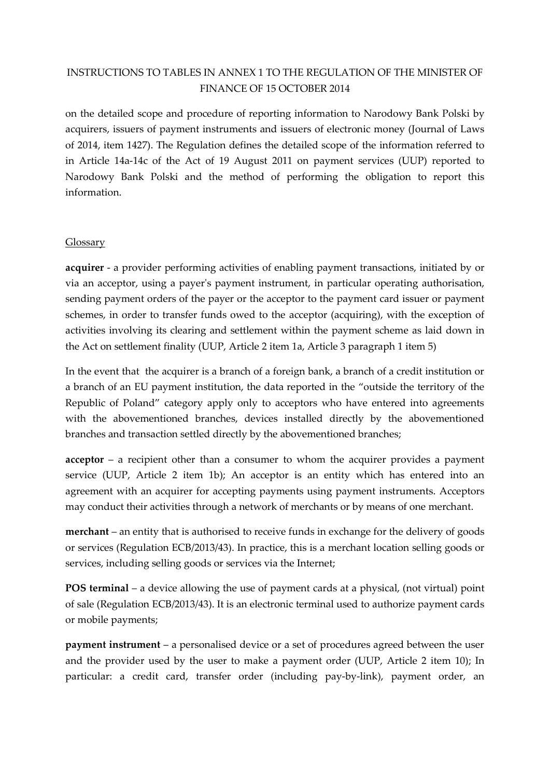## INSTRUCTIONS TO TABLES IN ANNEX 1 TO THE REGULATION OF THE MINISTER OF FINANCE OF 15 OCTOBER 2014

on the detailed scope and procedure of reporting information to Narodowy Bank Polski by acquirers, issuers of payment instruments and issuers of electronic money (Journal of Laws of 2014, item 1427). The Regulation defines the detailed scope of the information referred to in Article 14a-14c of the Act of 19 August 2011 on payment services (UUP) reported to Narodowy Bank Polski and the method of performing the obligation to report this information.

## **Glossary**

**acquirer** - a provider performing activities of enabling payment transactions, initiated by or via an acceptor, using a payer's payment instrument, in particular operating authorisation, sending payment orders of the payer or the acceptor to the payment card issuer or payment schemes, in order to transfer funds owed to the acceptor (acquiring), with the exception of activities involving its clearing and settlement within the payment scheme as laid down in the Act on settlement finality (UUP, Article 2 item 1a, Article 3 paragraph 1 item 5)

In the event that the acquirer is a branch of a foreign bank, a branch of a credit institution or a branch of an EU payment institution, the data reported in the "outside the territory of the Republic of Poland" category apply only to acceptors who have entered into agreements with the abovementioned branches, devices installed directly by the abovementioned branches and transaction settled directly by the abovementioned branches;

**acceptor** – a recipient other than a consumer to whom the acquirer provides a payment service (UUP, Article 2 item 1b); An acceptor is an entity which has entered into an agreement with an acquirer for accepting payments using payment instruments. Acceptors may conduct their activities through a network of merchants or by means of one merchant.

**merchant** – an entity that is authorised to receive funds in exchange for the delivery of goods or services (Regulation ECB/2013/43). In practice, this is a merchant location selling goods or services, including selling goods or services via the Internet;

**POS terminal** – a device allowing the use of payment cards at a physical, (not virtual) point of sale (Regulation ECB/2013/43). It is an electronic terminal used to authorize payment cards or mobile payments;

**payment instrument** – a personalised device or a set of procedures agreed between the user and the provider used by the user to make a payment order (UUP, Article 2 item 10); In particular: a credit card, transfer order (including pay-by-link), payment order, an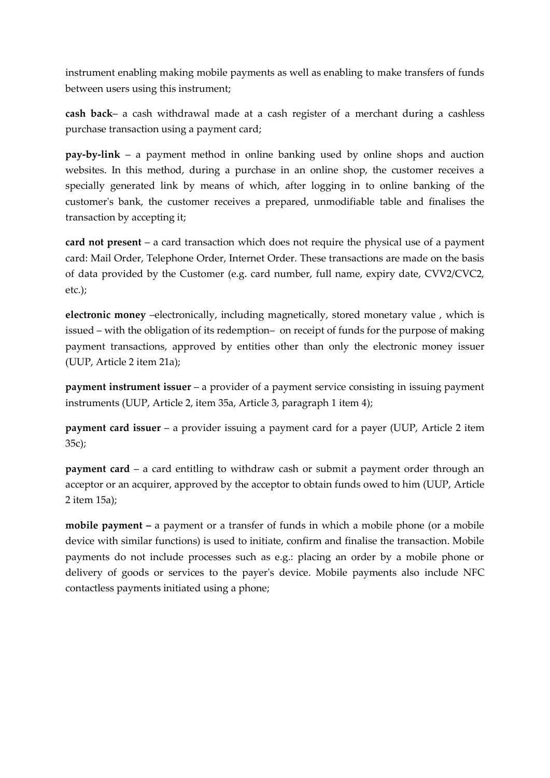instrument enabling making mobile payments as well as enabling to make transfers of funds between users using this instrument;

**cash back**– a cash withdrawal made at a cash register of a merchant during a cashless purchase transaction using a payment card;

**pay-by-link** – a payment method in online banking used by online shops and auction websites. In this method, during a purchase in an online shop, the customer receives a specially generated link by means of which, after logging in to online banking of the customer's bank, the customer receives a prepared, unmodifiable table and finalises the transaction by accepting it;

**card not present** – a card transaction which does not require the physical use of a payment card: Mail Order, Telephone Order, Internet Order. These transactions are made on the basis of data provided by the Customer (e.g. card number, full name, expiry date, CVV2/CVC2, etc.);

**electronic money** –electronically, including magnetically, stored monetary value , which is issued – with the obligation of its redemption– on receipt of funds for the purpose of making payment transactions, approved by entities other than only the electronic money issuer (UUP, Article 2 item 21a);

**payment instrument issuer** – a provider of a payment service consisting in issuing payment instruments (UUP, Article 2, item 35a, Article 3, paragraph 1 item 4);

**payment card issuer** – a provider issuing a payment card for a payer (UUP, Article 2 item 35c);

**payment card** – a card entitling to withdraw cash or submit a payment order through an acceptor or an acquirer, approved by the acceptor to obtain funds owed to him (UUP, Article 2 item 15a);

**mobile payment –** a payment or a transfer of funds in which a mobile phone (or a mobile device with similar functions) is used to initiate, confirm and finalise the transaction. Mobile payments do not include processes such as e.g.: placing an order by a mobile phone or delivery of goods or services to the payer's device. Mobile payments also include NFC contactless payments initiated using a phone;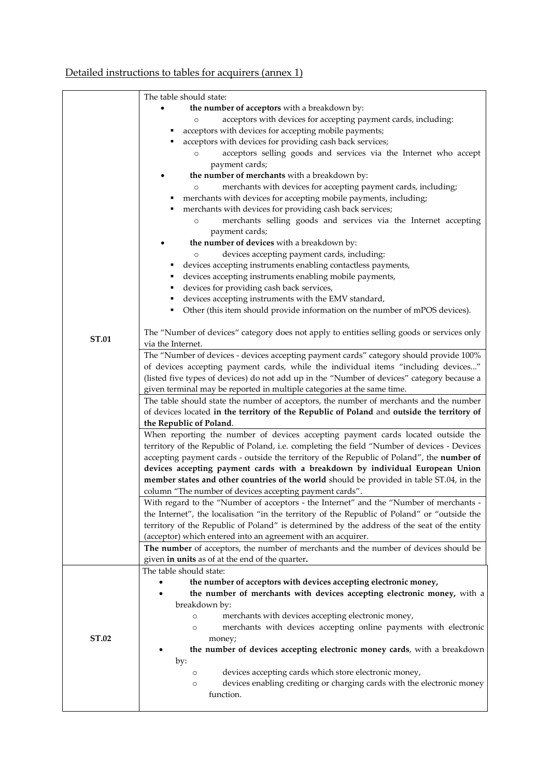## Detailed instructions to tables for acquirers (annex 1)

|              | The table should state:                                                                      |
|--------------|----------------------------------------------------------------------------------------------|
|              | the number of acceptors with a breakdown by:                                                 |
|              | acceptors with devices for accepting payment cards, including:<br>$\circ$                    |
|              | acceptors with devices for accepting mobile payments;                                        |
|              |                                                                                              |
|              | acceptors with devices for providing cash back services;                                     |
|              | acceptors selling goods and services via the Internet who accept<br>$\circ$                  |
|              | payment cards;                                                                               |
|              | the number of merchants with a breakdown by:                                                 |
|              | merchants with devices for accepting payment cards, including;                               |
|              | merchants with devices for accepting mobile payments, including;                             |
|              | merchants with devices for providing cash back services;                                     |
|              | merchants selling goods and services via the Internet accepting<br>$\circ$                   |
|              | payment cards;                                                                               |
|              | the number of devices with a breakdown by:                                                   |
|              | devices accepting payment cards, including:<br>$\circ$                                       |
|              | devices accepting instruments enabling contactless payments,                                 |
|              | devices accepting instruments enabling mobile payments,                                      |
|              | devices for providing cash back services,<br>٠                                               |
|              | devices accepting instruments with the EMV standard,<br>п                                    |
|              | Other (this item should provide information on the number of mPOS devices).                  |
|              |                                                                                              |
|              | The "Number of devices" category does not apply to entities selling goods or services only   |
| <b>ST.01</b> | via the Internet.                                                                            |
|              | The "Number of devices - devices accepting payment cards" category should provide 100%       |
|              | of devices accepting payment cards, while the individual items "including devices"           |
|              | (listed five types of devices) do not add up in the "Number of devices" category because a   |
|              | given terminal may be reported in multiple categories at the same time.                      |
|              | The table should state the number of acceptors, the number of merchants and the number       |
|              | of devices located in the territory of the Republic of Poland and outside the territory of   |
|              | the Republic of Poland.                                                                      |
|              | When reporting the number of devices accepting payment cards located outside the             |
|              | territory of the Republic of Poland, i.e. completing the field "Number of devices - Devices  |
|              | accepting payment cards - outside the territory of the Republic of Poland", the number of    |
|              | devices accepting payment cards with a breakdown by individual European Union                |
|              | member states and other countries of the world should be provided in table ST.04, in the     |
|              | column "The number of devices accepting payment cards".                                      |
|              | With regard to the "Number of acceptors - the Internet" and the "Number of merchants -       |
|              | the Internet", the localisation "in the territory of the Republic of Poland" or "outside the |
|              | territory of the Republic of Poland" is determined by the address of the seat of the entity  |
|              | (acceptor) which entered into an agreement with an acquirer.                                 |
|              | The number of acceptors, the number of merchants and the number of devices should be         |
|              | given in units as of at the end of the quarter.                                              |
|              | The table should state:                                                                      |
|              | the number of acceptors with devices accepting electronic money,                             |
|              | the number of merchants with devices accepting electronic money, with a                      |
|              | breakdown by:                                                                                |
|              | merchants with devices accepting electronic money,<br>$\circ$                                |
|              | merchants with devices accepting online payments with electronic                             |
| ST.02        | $\circ$                                                                                      |
|              | money;<br>the number of devices accepting electronic money cards, with a breakdown           |
|              | by:                                                                                          |
|              | devices accepting cards which store electronic money,<br>$\circ$                             |
|              | devices enabling crediting or charging cards with the electronic money<br>$\circ$            |
|              | function.                                                                                    |
|              |                                                                                              |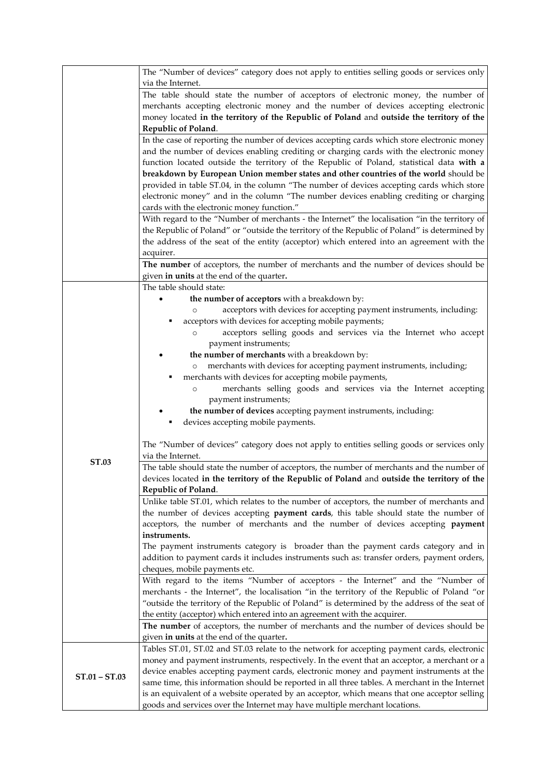|                 | The "Number of devices" category does not apply to entities selling goods or services only                                                                                                 |
|-----------------|--------------------------------------------------------------------------------------------------------------------------------------------------------------------------------------------|
|                 | via the Internet.                                                                                                                                                                          |
|                 | The table should state the number of acceptors of electronic money, the number of                                                                                                          |
|                 | merchants accepting electronic money and the number of devices accepting electronic                                                                                                        |
|                 | money located in the territory of the Republic of Poland and outside the territory of the                                                                                                  |
|                 | Republic of Poland.                                                                                                                                                                        |
|                 | In the case of reporting the number of devices accepting cards which store electronic money                                                                                                |
|                 | and the number of devices enabling crediting or charging cards with the electronic money                                                                                                   |
|                 | function located outside the territory of the Republic of Poland, statistical data with a                                                                                                  |
|                 | breakdown by European Union member states and other countries of the world should be                                                                                                       |
|                 | provided in table ST.04, in the column "The number of devices accepting cards which store                                                                                                  |
|                 | electronic money" and in the column "The number devices enabling crediting or charging                                                                                                     |
|                 | cards with the electronic money function."                                                                                                                                                 |
|                 | With regard to the "Number of merchants - the Internet" the localisation "in the territory of                                                                                              |
|                 | the Republic of Poland" or "outside the territory of the Republic of Poland" is determined by<br>the address of the seat of the entity (acceptor) which entered into an agreement with the |
|                 | acquirer.                                                                                                                                                                                  |
|                 | The number of acceptors, the number of merchants and the number of devices should be                                                                                                       |
|                 | given in units at the end of the quarter.                                                                                                                                                  |
|                 | The table should state:                                                                                                                                                                    |
|                 | the number of acceptors with a breakdown by:                                                                                                                                               |
|                 | acceptors with devices for accepting payment instruments, including:<br>$\circ$                                                                                                            |
|                 | acceptors with devices for accepting mobile payments;                                                                                                                                      |
|                 | acceptors selling goods and services via the Internet who accept<br>$\circ$                                                                                                                |
|                 | payment instruments;                                                                                                                                                                       |
|                 | the number of merchants with a breakdown by:                                                                                                                                               |
|                 | merchants with devices for accepting payment instruments, including;                                                                                                                       |
|                 | merchants with devices for accepting mobile payments,                                                                                                                                      |
|                 | merchants selling goods and services via the Internet accepting<br>$\circ$                                                                                                                 |
|                 | payment instruments;                                                                                                                                                                       |
|                 | the number of devices accepting payment instruments, including:                                                                                                                            |
|                 | devices accepting mobile payments.                                                                                                                                                         |
|                 | The "Number of devices" category does not apply to entities selling goods or services only                                                                                                 |
| <b>ST.03</b>    | via the Internet.                                                                                                                                                                          |
|                 | The table should state the number of acceptors, the number of merchants and the number of                                                                                                  |
|                 | devices located in the territory of the Republic of Poland and outside the territory of the                                                                                                |
|                 | Republic of Poland.                                                                                                                                                                        |
|                 | Unlike table ST.01, which relates to the number of acceptors, the number of merchants and                                                                                                  |
|                 | the number of devices accepting payment cards, this table should state the number of                                                                                                       |
|                 | acceptors, the number of merchants and the number of devices accepting payment                                                                                                             |
|                 | instruments.                                                                                                                                                                               |
|                 | The payment instruments category is broader than the payment cards category and in<br>addition to payment cards it includes instruments such as: transfer orders, payment orders,          |
|                 | cheques, mobile payments etc.                                                                                                                                                              |
|                 | With regard to the items "Number of acceptors - the Internet" and the "Number of                                                                                                           |
|                 | merchants - the Internet", the localisation "in the territory of the Republic of Poland "or                                                                                                |
|                 | "outside the territory of the Republic of Poland" is determined by the address of the seat of                                                                                              |
|                 | the entity (acceptor) which entered into an agreement with the acquirer.                                                                                                                   |
|                 | The number of acceptors, the number of merchants and the number of devices should be                                                                                                       |
|                 | given in units at the end of the quarter.                                                                                                                                                  |
|                 | Tables ST.01, ST.02 and ST.03 relate to the network for accepting payment cards, electronic                                                                                                |
| $ST.01 - ST.03$ | money and payment instruments, respectively. In the event that an acceptor, a merchant or a                                                                                                |
|                 | device enables accepting payment cards, electronic money and payment instruments at the                                                                                                    |
|                 | same time, this information should be reported in all three tables. A merchant in the Internet                                                                                             |
|                 | is an equivalent of a website operated by an acceptor, which means that one acceptor selling                                                                                               |
|                 | goods and services over the Internet may have multiple merchant locations.                                                                                                                 |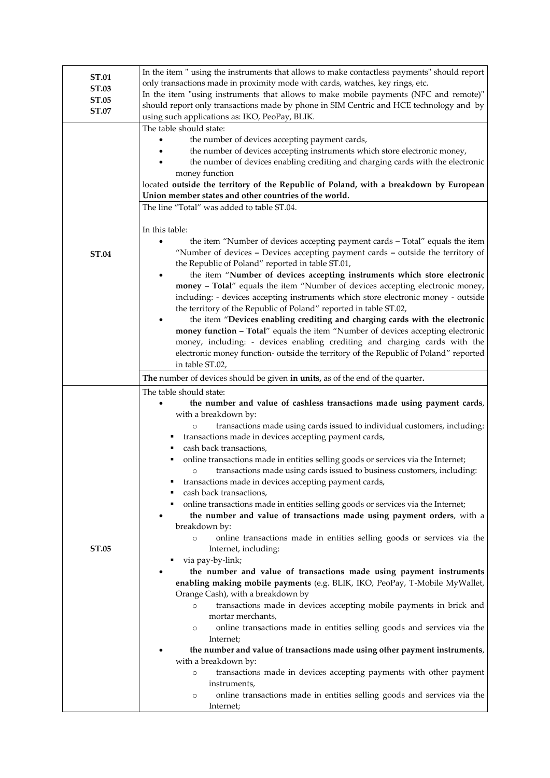| <b>ST.01</b><br><b>ST.03</b><br><b>ST.05</b><br><b>ST.07</b> | In the item " using the instruments that allows to make contactless payments" should report<br>only transactions made in proximity mode with cards, watches, key rings, etc.<br>In the item "using instruments that allows to make mobile payments (NFC and remote)"<br>should report only transactions made by phone in SIM Centric and HCE technology and by<br>using such applications as: IKO, PeoPay, BLIK.                                                                                                                                                                                                                                                                                                                                                                                                                                                                                                                                                                                                                                                                                                                                                                                                                                                                                                                                                                                                                                                                                                                                               |
|--------------------------------------------------------------|----------------------------------------------------------------------------------------------------------------------------------------------------------------------------------------------------------------------------------------------------------------------------------------------------------------------------------------------------------------------------------------------------------------------------------------------------------------------------------------------------------------------------------------------------------------------------------------------------------------------------------------------------------------------------------------------------------------------------------------------------------------------------------------------------------------------------------------------------------------------------------------------------------------------------------------------------------------------------------------------------------------------------------------------------------------------------------------------------------------------------------------------------------------------------------------------------------------------------------------------------------------------------------------------------------------------------------------------------------------------------------------------------------------------------------------------------------------------------------------------------------------------------------------------------------------|
| <b>ST.04</b>                                                 | The table should state:<br>the number of devices accepting payment cards,<br>the number of devices accepting instruments which store electronic money,<br>the number of devices enabling crediting and charging cards with the electronic<br>money function<br>located outside the territory of the Republic of Poland, with a breakdown by European<br>Union member states and other countries of the world.                                                                                                                                                                                                                                                                                                                                                                                                                                                                                                                                                                                                                                                                                                                                                                                                                                                                                                                                                                                                                                                                                                                                                  |
|                                                              | The line "Total" was added to table ST.04.<br>In this table:<br>the item "Number of devices accepting payment cards - Total" equals the item<br>"Number of devices - Devices accepting payment cards - outside the territory of                                                                                                                                                                                                                                                                                                                                                                                                                                                                                                                                                                                                                                                                                                                                                                                                                                                                                                                                                                                                                                                                                                                                                                                                                                                                                                                                |
|                                                              | the Republic of Poland" reported in table ST.01,<br>the item "Number of devices accepting instruments which store electronic<br>money - Total" equals the item "Number of devices accepting electronic money,<br>including: - devices accepting instruments which store electronic money - outside<br>the territory of the Republic of Poland" reported in table ST.02,<br>the item "Devices enabling crediting and charging cards with the electronic<br>money function - Total" equals the item "Number of devices accepting electronic<br>money, including: - devices enabling crediting and charging cards with the<br>electronic money function- outside the territory of the Republic of Poland" reported<br>in table ST.02,                                                                                                                                                                                                                                                                                                                                                                                                                                                                                                                                                                                                                                                                                                                                                                                                                             |
|                                                              | The number of devices should be given in units, as of the end of the quarter.<br>The table should state:                                                                                                                                                                                                                                                                                                                                                                                                                                                                                                                                                                                                                                                                                                                                                                                                                                                                                                                                                                                                                                                                                                                                                                                                                                                                                                                                                                                                                                                       |
| <b>ST.05</b>                                                 | the number and value of cashless transactions made using payment cards,<br>with a breakdown by:<br>transactions made using cards issued to individual customers, including:<br>$\circ$<br>transactions made in devices accepting payment cards,<br>cash back transactions,<br>online transactions made in entities selling goods or services via the Internet;<br>٠<br>transactions made using cards issued to business customers, including:<br>$\circ$<br>transactions made in devices accepting payment cards,<br>cash back transactions,<br>online transactions made in entities selling goods or services via the Internet;<br>the number and value of transactions made using payment orders, with a<br>breakdown by:<br>online transactions made in entities selling goods or services via the<br>$\circ$<br>Internet, including:<br>via pay-by-link;<br>the number and value of transactions made using payment instruments<br>enabling making mobile payments (e.g. BLIK, IKO, PeoPay, T-Mobile MyWallet,<br>Orange Cash), with a breakdown by<br>transactions made in devices accepting mobile payments in brick and<br>$\circ$<br>mortar merchants,<br>online transactions made in entities selling goods and services via the<br>$\circ$<br>Internet;<br>the number and value of transactions made using other payment instruments,<br>with a breakdown by:<br>transactions made in devices accepting payments with other payment<br>$\circ$<br>instruments,<br>online transactions made in entities selling goods and services via the<br>$\circ$ |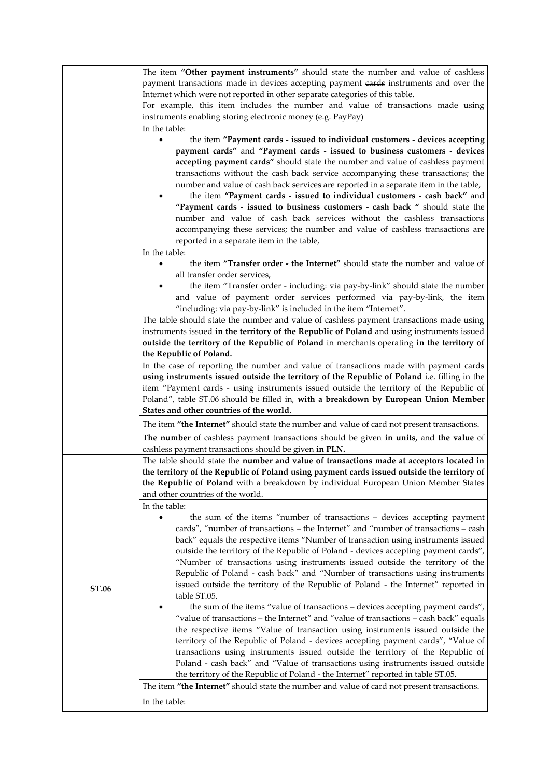|              | The item "Other payment instruments" should state the number and value of cashless                                                                                                |
|--------------|-----------------------------------------------------------------------------------------------------------------------------------------------------------------------------------|
|              | payment transactions made in devices accepting payment eards instruments and over the                                                                                             |
|              | Internet which were not reported in other separate categories of this table.                                                                                                      |
|              | For example, this item includes the number and value of transactions made using                                                                                                   |
|              |                                                                                                                                                                                   |
|              | instruments enabling storing electronic money (e.g. PayPay)                                                                                                                       |
|              | In the table:                                                                                                                                                                     |
|              | the item "Payment cards - issued to individual customers - devices accepting                                                                                                      |
|              | payment cards" and "Payment cards - issued to business customers - devices                                                                                                        |
|              | accepting payment cards" should state the number and value of cashless payment                                                                                                    |
|              | transactions without the cash back service accompanying these transactions; the                                                                                                   |
|              | number and value of cash back services are reported in a separate item in the table,                                                                                              |
|              | the item "Payment cards - issued to individual customers - cash back" and                                                                                                         |
|              | "Payment cards - issued to business customers - cash back " should state the                                                                                                      |
|              | number and value of cash back services without the cashless transactions                                                                                                          |
|              | accompanying these services; the number and value of cashless transactions are                                                                                                    |
|              | reported in a separate item in the table,                                                                                                                                         |
|              | In the table:                                                                                                                                                                     |
|              | the item "Transfer order - the Internet" should state the number and value of                                                                                                     |
|              | all transfer order services,                                                                                                                                                      |
|              |                                                                                                                                                                                   |
|              | the item "Transfer order - including: via pay-by-link" should state the number                                                                                                    |
|              | and value of payment order services performed via pay-by-link, the item                                                                                                           |
|              | "including: via pay-by-link" is included in the item "Internet".                                                                                                                  |
|              | The table should state the number and value of cashless payment transactions made using                                                                                           |
|              | instruments issued in the territory of the Republic of Poland and using instruments issued                                                                                        |
|              | outside the territory of the Republic of Poland in merchants operating in the territory of                                                                                        |
|              | the Republic of Poland.                                                                                                                                                           |
|              | In the case of reporting the number and value of transactions made with payment cards                                                                                             |
|              | using instruments issued outside the territory of the Republic of Poland i.e. filling in the                                                                                      |
|              | item "Payment cards - using instruments issued outside the territory of the Republic of                                                                                           |
|              | Poland", table ST.06 should be filled in, with a breakdown by European Union Member                                                                                               |
|              | States and other countries of the world.<br>The item "the Internet" should state the number and value of card not present transactions.                                           |
|              |                                                                                                                                                                                   |
|              | The number of cashless payment transactions should be given in units, and the value of<br>cashless payment transactions should be given in PLN.                                   |
|              |                                                                                                                                                                                   |
|              | The table should state the number and value of transactions made at acceptors located in                                                                                          |
|              | the territory of the Republic of Poland using payment cards issued outside the territory of<br>the Republic of Poland with a breakdown by individual European Union Member States |
|              |                                                                                                                                                                                   |
|              | and other countries of the world.                                                                                                                                                 |
|              | In the table:                                                                                                                                                                     |
|              | the sum of the items "number of transactions - devices accepting payment<br>$\bullet$                                                                                             |
|              | cards", "number of transactions - the Internet" and "number of transactions - cash                                                                                                |
|              | back" equals the respective items "Number of transaction using instruments issued                                                                                                 |
|              | outside the territory of the Republic of Poland - devices accepting payment cards",                                                                                               |
|              | "Number of transactions using instruments issued outside the territory of the                                                                                                     |
|              | Republic of Poland - cash back" and "Number of transactions using instruments                                                                                                     |
| <b>ST.06</b> | issued outside the territory of the Republic of Poland - the Internet" reported in                                                                                                |
|              | table ST.05.                                                                                                                                                                      |
|              | the sum of the items "value of transactions - devices accepting payment cards",<br>٠                                                                                              |
|              | "value of transactions - the Internet" and "value of transactions - cash back" equals                                                                                             |
|              | the respective items "Value of transaction using instruments issued outside the                                                                                                   |
|              | territory of the Republic of Poland - devices accepting payment cards", "Value of                                                                                                 |
|              | transactions using instruments issued outside the territory of the Republic of                                                                                                    |
|              | Poland - cash back" and "Value of transactions using instruments issued outside                                                                                                   |
|              | the territory of the Republic of Poland - the Internet" reported in table ST.05.                                                                                                  |
|              | The item "the Internet" should state the number and value of card not present transactions.                                                                                       |
|              | In the table:                                                                                                                                                                     |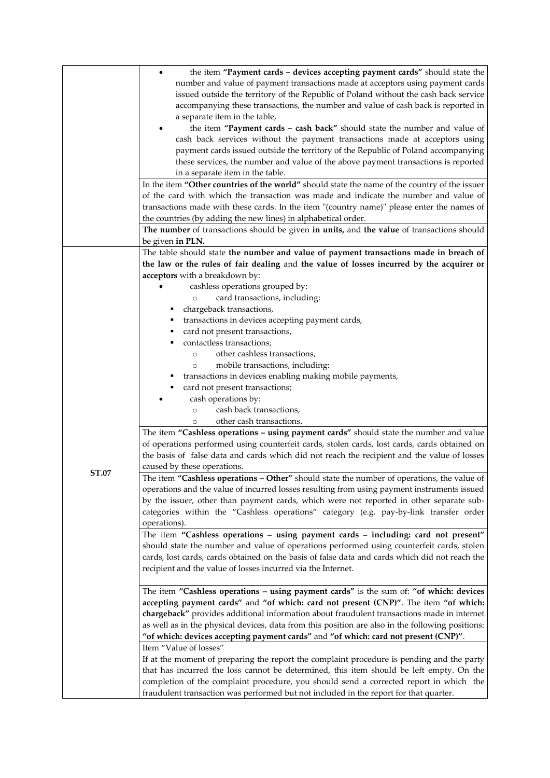|              | the item "Payment cards - devices accepting payment cards" should state the                      |
|--------------|--------------------------------------------------------------------------------------------------|
|              | number and value of payment transactions made at acceptors using payment cards                   |
|              | issued outside the territory of the Republic of Poland without the cash back service             |
|              | accompanying these transactions, the number and value of cash back is reported in                |
|              |                                                                                                  |
|              | a separate item in the table,                                                                    |
|              | the item "Payment cards - cash back" should state the number and value of                        |
|              | cash back services without the payment transactions made at acceptors using                      |
|              | payment cards issued outside the territory of the Republic of Poland accompanying                |
|              | these services, the number and value of the above payment transactions is reported               |
|              |                                                                                                  |
|              | in a separate item in the table.                                                                 |
|              | In the item "Other countries of the world" should state the name of the country of the issuer    |
|              | of the card with which the transaction was made and indicate the number and value of             |
|              | transactions made with these cards. In the item "(country name)" please enter the names of       |
|              |                                                                                                  |
|              | the countries (by adding the new lines) in alphabetical order.                                   |
|              | The number of transactions should be given in units, and the value of transactions should        |
|              | be given in PLN.                                                                                 |
|              | The table should state the number and value of payment transactions made in breach of            |
|              |                                                                                                  |
|              | the law or the rules of fair dealing and the value of losses incurred by the acquirer or         |
|              | acceptors with a breakdown by:                                                                   |
|              | cashless operations grouped by:                                                                  |
|              | card transactions, including:                                                                    |
|              | chargeback transactions,                                                                         |
|              |                                                                                                  |
|              | transactions in devices accepting payment cards,                                                 |
|              | card not present transactions,                                                                   |
|              | contactless transactions;                                                                        |
|              | other cashless transactions,<br>$\circ$                                                          |
|              |                                                                                                  |
|              | mobile transactions, including:                                                                  |
|              | transactions in devices enabling making mobile payments,                                         |
|              | card not present transactions;                                                                   |
|              | cash operations by:                                                                              |
|              | cash back transactions,<br>$\circ$                                                               |
|              |                                                                                                  |
|              | other cash transactions.<br>$\circ$                                                              |
|              | The item "Cashless operations - using payment cards" should state the number and value           |
|              | of operations performed using counterfeit cards, stolen cards, lost cards, cards obtained on     |
|              | the basis of false data and cards which did not reach the recipient and the value of losses      |
|              | caused by these operations.                                                                      |
| <b>ST.07</b> |                                                                                                  |
|              | The item "Cashless operations - Other" should state the number of operations, the value of       |
|              | operations and the value of incurred losses resulting from using payment instruments issued      |
|              | by the issuer, other than payment cards, which were not reported in other separate sub-          |
|              | categories within the "Cashless operations" category (e.g. pay-by-link transfer order            |
|              | operations).                                                                                     |
|              |                                                                                                  |
|              | The item "Cashless operations - using payment cards - including: card not present"               |
|              | should state the number and value of operations performed using counterfeit cards, stolen        |
|              | cards, lost cards, cards obtained on the basis of false data and cards which did not reach the   |
|              | recipient and the value of losses incurred via the Internet.                                     |
|              |                                                                                                  |
|              |                                                                                                  |
|              | The item "Cashless operations - using payment cards" is the sum of: "of which: devices           |
|              | accepting payment cards" and "of which: card not present (CNP)". The item "of which:             |
|              | chargeback" provides additional information about fraudulent transactions made in internet       |
|              | as well as in the physical devices, data from this position are also in the following positions: |
|              |                                                                                                  |
|              | "of which: devices accepting payment cards" and "of which: card not present (CNP)".              |
|              | Item "Value of losses"                                                                           |
|              | If at the moment of preparing the report the complaint procedure is pending and the party        |
|              | that has incurred the loss cannot be determined, this item should be left empty. On the          |
|              |                                                                                                  |
|              | completion of the complaint procedure, you should send a corrected report in which the           |
|              | fraudulent transaction was performed but not included in the report for that quarter.            |